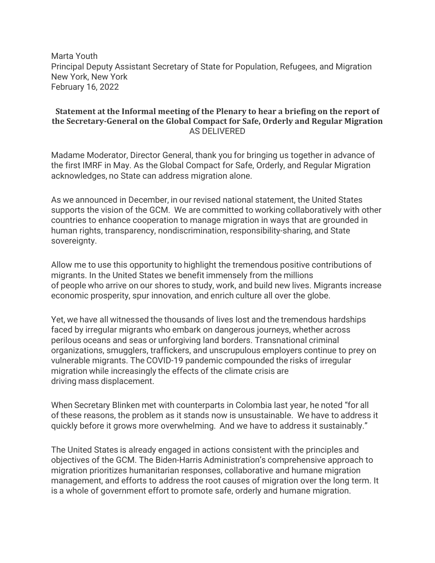Marta Youth Principal Deputy Assistant Secretary of State for Population, Refugees, and Migration New York, New York February 16, 2022

## **Statement at the Informal meeting of the Plenary to hear a briefing on the report of the Secretary-General on the Global Compact for Safe, Orderly and Regular Migration** AS DELIVERED

Madame Moderator, Director General, thank you for bringing us together in advance of the first IMRF in May. As the Global Compact for Safe, Orderly, and Regular Migration acknowledges, no State can address migration alone.

As we announced in December, in our revised national statement, the United States supports the vision of the GCM. We are committed to working collaboratively with other countries to enhance cooperation to manage migration in ways that are grounded in human rights, transparency, nondiscrimination, responsibility-sharing, and State sovereignty.

Allow me to use this opportunity to highlight the tremendous positive contributions of migrants. In the United States we benefit immensely from the millions of people who arrive on our shores to study, work, and build new lives. Migrants increase economic prosperity, spur innovation, and enrich culture all over the globe.

Yet, we have all witnessed the thousands of lives lost and the tremendous hardships faced by irregular migrants who embark on dangerous journeys, whether across perilous oceans and seas or unforgiving land borders. Transnational criminal organizations, smugglers, traffickers, and unscrupulous employers continue to prey on vulnerable migrants. The COVID-19 pandemic compounded the risks of irregular migration while increasingly the effects of the climate crisis are driving mass displacement.

When Secretary Blinken met with counterparts in Colombia last year, he noted "for all of these reasons, the problem as it stands now is unsustainable. We have to address it quickly before it grows more overwhelming.  And we have to address it sustainably."

The United States is already engaged in actions consistent with the principles and objectives of the GCM. The Biden-Harris Administration's comprehensive approach to migration prioritizes humanitarian responses, collaborative and humane migration management, and efforts to address the root causes of migration over the long term. It is a whole of government effort to promote safe, orderly and humane migration.